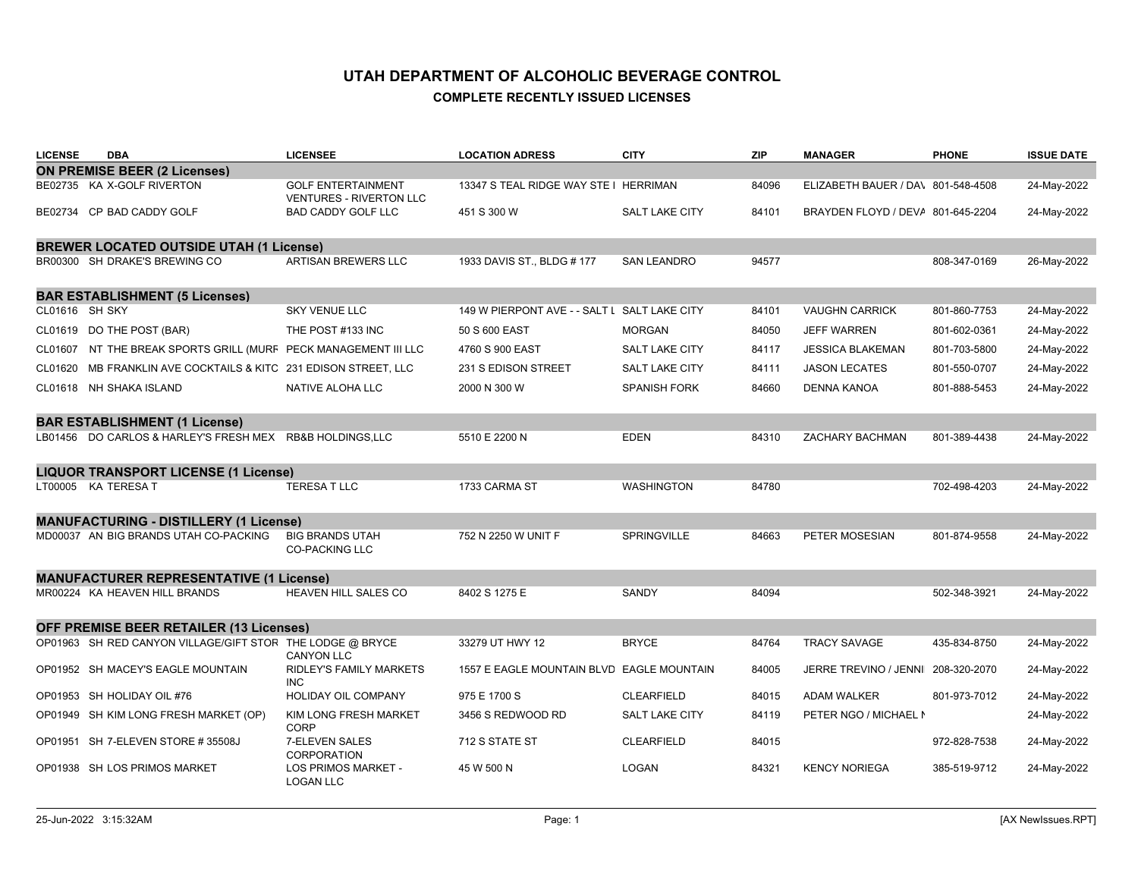| <b>LICENSE</b> | <b>DBA</b>                                                      | <b>LICENSEE</b>                                             | <b>LOCATION ADRESS</b>                       | <b>CITY</b>           | <b>ZIP</b> | <b>MANAGER</b>                     | <b>PHONE</b> | <b>ISSUE DATE</b> |
|----------------|-----------------------------------------------------------------|-------------------------------------------------------------|----------------------------------------------|-----------------------|------------|------------------------------------|--------------|-------------------|
|                | <b>ON PREMISE BEER (2 Licenses)</b>                             |                                                             |                                              |                       |            |                                    |              |                   |
|                | BE02735 KA X-GOLF RIVERTON                                      | <b>GOLF ENTERTAINMENT</b><br><b>VENTURES - RIVERTON LLC</b> | 13347 S TEAL RIDGE WAY STE I HERRIMAN        |                       | 84096      | ELIZABETH BAUER / DA\ 801-548-4508 |              | 24-May-2022       |
|                | BE02734 CP BAD CADDY GOLF                                       | <b>BAD CADDY GOLF LLC</b>                                   | 451 S 300 W                                  | SALT LAKE CITY        | 84101      | BRAYDEN FLOYD / DEVA 801-645-2204  |              | 24-May-2022       |
|                | <b>BREWER LOCATED OUTSIDE UTAH (1 License)</b>                  |                                                             |                                              |                       |            |                                    |              |                   |
|                | BR00300 SH DRAKE'S BREWING CO                                   | ARTISAN BREWERS LLC                                         | 1933 DAVIS ST., BLDG # 177                   | <b>SAN LEANDRO</b>    | 94577      |                                    | 808-347-0169 | 26-May-2022       |
|                | <b>BAR ESTABLISHMENT (5 Licenses)</b>                           |                                                             |                                              |                       |            |                                    |              |                   |
| CL01616 SH SKY |                                                                 | <b>SKY VENUE LLC</b>                                        | 149 W PIERPONT AVE - - SALT L SALT LAKE CITY |                       | 84101      | <b>VAUGHN CARRICK</b>              | 801-860-7753 | 24-May-2022       |
|                | CL01619 DO THE POST (BAR)                                       | THE POST #133 INC                                           | 50 S 600 EAST                                | <b>MORGAN</b>         | 84050      | <b>JEFF WARREN</b>                 | 801-602-0361 | 24-May-2022       |
|                | CL01607 NT THE BREAK SPORTS GRILL (MURF PECK MANAGEMENT III LLC |                                                             | 4760 S 900 EAST                              | <b>SALT LAKE CITY</b> | 84117      | <b>JESSICA BLAKEMAN</b>            | 801-703-5800 | 24-May-2022       |
|                | CL01620 MB FRANKLIN AVE COCKTAILS & KITC 231 EDISON STREET, LLC |                                                             | 231 S EDISON STREET                          | <b>SALT LAKE CITY</b> | 84111      | <b>JASON LECATES</b>               | 801-550-0707 | 24-May-2022       |
|                | CL01618 NH SHAKA ISLAND                                         | NATIVE ALOHA LLC                                            | 2000 N 300 W                                 | <b>SPANISH FORK</b>   | 84660      | <b>DENNA KANOA</b>                 | 801-888-5453 | 24-May-2022       |
|                | <b>BAR ESTABLISHMENT (1 License)</b>                            |                                                             |                                              |                       |            |                                    |              |                   |
|                | LB01456 DO CARLOS & HARLEY'S FRESH MEX RB&B HOLDINGS,LLC        |                                                             | 5510 E 2200 N                                | <b>EDEN</b>           | 84310      | <b>ZACHARY BACHMAN</b>             | 801-389-4438 | 24-May-2022       |
|                | <b>LIQUOR TRANSPORT LICENSE (1 License)</b>                     |                                                             |                                              |                       |            |                                    |              |                   |
|                | LT00005 KA TERESA T                                             | <b>TERESA T LLC</b>                                         | 1733 CARMA ST                                | <b>WASHINGTON</b>     | 84780      |                                    | 702-498-4203 | 24-May-2022       |
|                | <b>MANUFACTURING - DISTILLERY (1 License)</b>                   |                                                             |                                              |                       |            |                                    |              |                   |
|                | MD00037 AN BIG BRANDS UTAH CO-PACKING                           | <b>BIG BRANDS UTAH</b><br><b>CO-PACKING LLC</b>             | 752 N 2250 W UNIT F                          | SPRINGVILLE           | 84663      | PETER MOSESIAN                     | 801-874-9558 | 24-May-2022       |
|                | <b>MANUFACTURER REPRESENTATIVE (1 License)</b>                  |                                                             |                                              |                       |            |                                    |              |                   |
|                | MR00224 KA HEAVEN HILL BRANDS                                   | HEAVEN HILL SALES CO                                        | 8402 S 1275 E                                | SANDY                 | 84094      |                                    | 502-348-3921 | 24-May-2022       |
|                | <b>OFF PREMISE BEER RETAILER (13 Licenses)</b>                  |                                                             |                                              |                       |            |                                    |              |                   |
|                | OP01963 SH RED CANYON VILLAGE/GIFT STOR THE LODGE @ BRYCE       | <b>CANYON LLC</b>                                           | 33279 UT HWY 12                              | <b>BRYCE</b>          | 84764      | <b>TRACY SAVAGE</b>                | 435-834-8750 | 24-May-2022       |
|                | OP01952 SH MACEY'S EAGLE MOUNTAIN                               | RIDLEY'S FAMILY MARKETS<br><b>INC</b>                       | 1557 E EAGLE MOUNTAIN BLVD EAGLE MOUNTAIN    |                       | 84005      | JERRE TREVINO / JENNI 208-320-2070 |              | 24-May-2022       |
|                | OP01953 SH HOLIDAY OIL #76                                      | <b>HOLIDAY OIL COMPANY</b>                                  | 975 E 1700 S                                 | <b>CLEARFIELD</b>     | 84015      | <b>ADAM WALKER</b>                 | 801-973-7012 | 24-May-2022       |
|                | OP01949 SH KIM LONG FRESH MARKET (OP)                           | <b>KIM LONG FRESH MARKET</b><br><b>CORP</b>                 | 3456 S REDWOOD RD                            | <b>SALT LAKE CITY</b> | 84119      | PETER NGO / MICHAEL N              |              | 24-May-2022       |
|                | OP01951 SH 7-ELEVEN STORE #35508J                               | 7-ELEVEN SALES<br><b>CORPORATION</b>                        | 712 S STATE ST                               | <b>CLEARFIELD</b>     | 84015      |                                    | 972-828-7538 | 24-May-2022       |
|                | OP01938 SH LOS PRIMOS MARKET                                    | <b>LOS PRIMOS MARKET -</b><br><b>LOGAN LLC</b>              | 45 W 500 N                                   | <b>LOGAN</b>          | 84321      | <b>KENCY NORIEGA</b>               | 385-519-9712 | 24-May-2022       |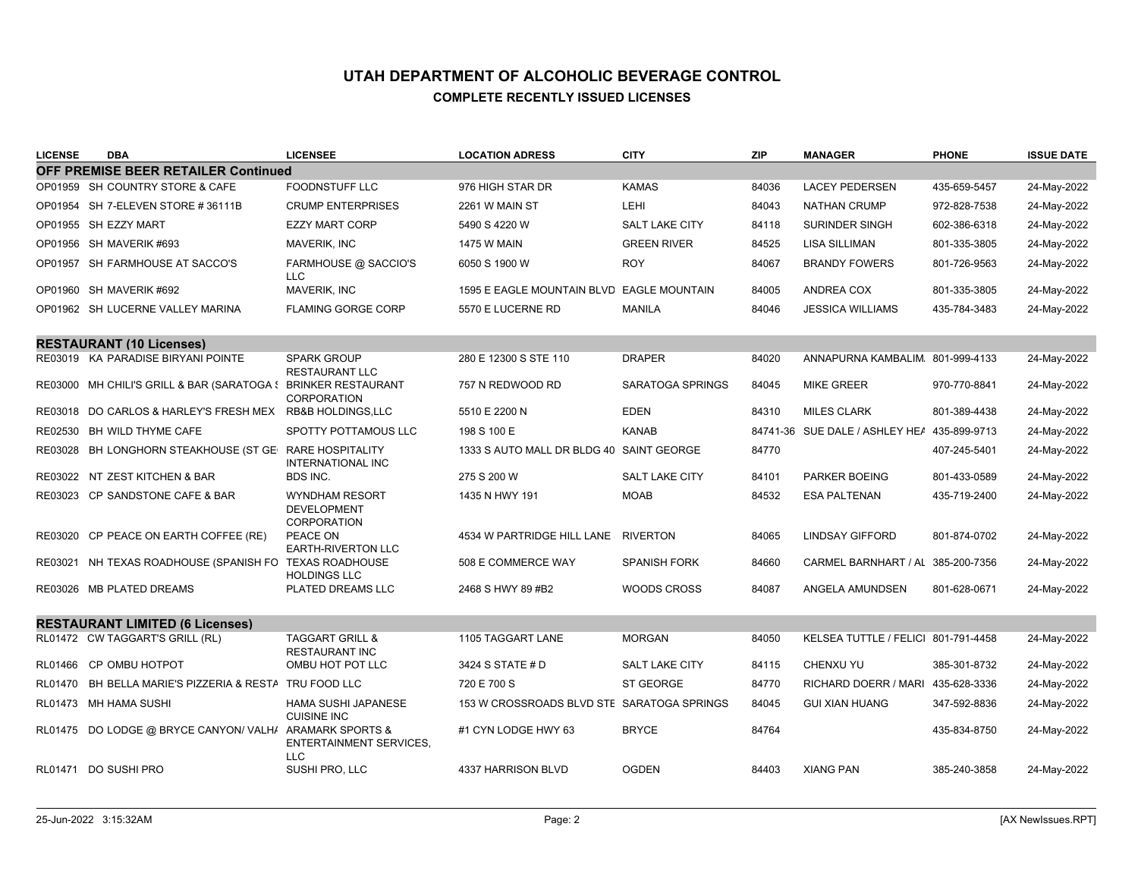| <b>LICENSE</b> | <b>DBA</b>                                                    | <b>LICENSEE</b>                                            | <b>LOCATION ADRESS</b>                     | <b>CITY</b>           | <b>ZIP</b> | <b>MANAGER</b>                              | <b>PHONE</b> | <b>ISSUE DATE</b> |
|----------------|---------------------------------------------------------------|------------------------------------------------------------|--------------------------------------------|-----------------------|------------|---------------------------------------------|--------------|-------------------|
|                | <b>OFF PREMISE BEER RETAILER Continued</b>                    |                                                            |                                            |                       |            |                                             |              |                   |
|                | OP01959 SH COUNTRY STORE & CAFE                               | <b>FOODNSTUFF LLC</b>                                      | 976 HIGH STAR DR                           | <b>KAMAS</b>          | 84036      | <b>LACEY PEDERSEN</b>                       | 435-659-5457 | 24-May-2022       |
|                | OP01954 SH 7-ELEVEN STORE #36111B                             | <b>CRUMP ENTERPRISES</b>                                   | 2261 W MAIN ST                             | <b>LEHI</b>           | 84043      | <b>NATHAN CRUMP</b>                         | 972-828-7538 | 24-May-2022       |
|                | OP01955 SH EZZY MART                                          | <b>EZZY MART CORP</b>                                      | 5490 S 4220 W                              | <b>SALT LAKE CITY</b> | 84118      | <b>SURINDER SINGH</b>                       | 602-386-6318 | 24-May-2022       |
|                | OP01956 SH MAVERIK #693                                       | <b>MAVERIK, INC</b>                                        | <b>1475 W MAIN</b>                         | <b>GREEN RIVER</b>    | 84525      | <b>LISA SILLIMAN</b>                        | 801-335-3805 | 24-May-2022       |
|                | OP01957 SH FARMHOUSE AT SACCO'S                               | FARMHOUSE @ SACCIO'S<br><b>LLC</b>                         | 6050 S 1900 W                              | <b>ROY</b>            | 84067      | <b>BRANDY FOWERS</b>                        | 801-726-9563 | 24-May-2022       |
|                | OP01960 SH MAVERIK #692                                       | <b>MAVERIK, INC</b>                                        | 1595 E EAGLE MOUNTAIN BLVD EAGLE MOUNTAIN  |                       | 84005      | <b>ANDREA COX</b>                           | 801-335-3805 | 24-May-2022       |
|                | OP01962 SH LUCERNE VALLEY MARINA                              | <b>FLAMING GORGE CORP</b>                                  | 5570 E LUCERNE RD                          | <b>MANILA</b>         | 84046      | <b>JESSICA WILLIAMS</b>                     | 435-784-3483 | 24-May-2022       |
|                | <b>RESTAURANT (10 Licenses)</b>                               |                                                            |                                            |                       |            |                                             |              |                   |
|                | RE03019 KA PARADISE BIRYANI POINTE                            | <b>SPARK GROUP</b><br><b>RESTAURANT LLC</b>                | 280 E 12300 S STE 110                      | <b>DRAPER</b>         | 84020      | ANNAPURNA KAMBALIM 801-999-4133             |              | 24-May-2022       |
|                | RE03000 MH CHILI'S GRILL & BAR (SARATOGA & BRINKER RESTAURANT | <b>CORPORATION</b>                                         | 757 N REDWOOD RD                           | SARATOGA SPRINGS      | 84045      | <b>MIKE GREER</b>                           | 970-770-8841 | 24-May-2022       |
|                | RE03018 DO CARLOS & HARLEY'S FRESH MEX RB&B HOLDINGS, LLC     |                                                            | 5510 E 2200 N                              | <b>EDEN</b>           | 84310      | <b>MILES CLARK</b>                          | 801-389-4438 | 24-May-2022       |
|                | RE02530 BH WILD THYME CAFE                                    | <b>SPOTTY POTTAMOUS LLC</b>                                | 198 S 100 E                                | <b>KANAB</b>          |            | 84741-36 SUE DALE / ASHLEY HEA 435-899-9713 |              | 24-May-2022       |
|                | RE03028 BH LONGHORN STEAKHOUSE (ST GEI RARE HOSPITALITY       | <b>INTERNATIONAL INC</b>                                   | 1333 S AUTO MALL DR BLDG 40 SAINT GEORGE   |                       | 84770      |                                             | 407-245-5401 | 24-May-2022       |
|                | RE03022 NT ZEST KITCHEN & BAR                                 | BDS INC.                                                   | 275 S 200 W                                | <b>SALT LAKE CITY</b> | 84101      | <b>PARKER BOEING</b>                        | 801-433-0589 | 24-May-2022       |
|                | RE03023 CP SANDSTONE CAFE & BAR                               | <b>WYNDHAM RESORT</b><br><b>DEVELOPMENT</b><br>CORPORATION | 1435 N HWY 191                             | <b>MOAB</b>           | 84532      | <b>ESA PALTENAN</b>                         | 435-719-2400 | 24-May-2022       |
| RE03020        | CP PEACE ON EARTH COFFEE (RE)                                 | PEACE ON<br>EARTH-RIVERTON LLC                             | 4534 W PARTRIDGE HILL LANE                 | <b>RIVERTON</b>       | 84065      | <b>LINDSAY GIFFORD</b>                      | 801-874-0702 | 24-May-2022       |
| RE03021        | NH TEXAS ROADHOUSE (SPANISH FO TEXAS ROADHOUSE                | <b>HOLDINGS LLC</b>                                        | 508 E COMMERCE WAY                         | <b>SPANISH FORK</b>   | 84660      | CARMEL BARNHART / AL 385-200-7356           |              | 24-May-2022       |
|                | RE03026 MB PLATED DREAMS                                      | PLATED DREAMS LLC                                          | 2468 S HWY 89 #B2                          | <b>WOODS CROSS</b>    | 84087      | ANGELA AMUNDSEN                             | 801-628-0671 | 24-May-2022       |
|                | <b>RESTAURANT LIMITED (6 Licenses)</b>                        |                                                            |                                            |                       |            |                                             |              |                   |
|                | RL01472 CW TAGGART'S GRILL (RL)                               | <b>TAGGART GRILL &amp;</b><br><b>RESTAURANT INC</b>        | 1105 TAGGART LANE                          | <b>MORGAN</b>         | 84050      | KELSEA TUTTLE / FELICI 801-791-4458         |              | 24-May-2022       |
| RL01466        | <b>CP OMBU HOTPOT</b>                                         | OMBU HOT POT LLC                                           | 3424 S STATE # D                           | <b>SALT LAKE CITY</b> | 84115      | <b>CHENXU YU</b>                            | 385-301-8732 | 24-May-2022       |
| RL01470        | BH BELLA MARIE'S PIZZERIA & RESTA TRU FOOD LLC                |                                                            | 720 E 700 S                                | ST GEORGE             | 84770      | RICHARD DOERR / MARI 435-628-3336           |              | 24-May-2022       |
|                | RL01473 MH HAMA SUSHI                                         | <b>HAMA SUSHI JAPANESE</b><br><b>CUISINE INC</b>           | 153 W CROSSROADS BLVD STE SARATOGA SPRINGS |                       | 84045      | <b>GUI XIAN HUANG</b>                       | 347-592-8836 | 24-May-2022       |
|                | RL01475 DO LODGE @ BRYCE CANYON/VALHA ARAMARK SPORTS &        | <b>ENTERTAINMENT SERVICES.</b><br><b>LLC</b>               | #1 CYN LODGE HWY 63                        | <b>BRYCE</b>          | 84764      |                                             | 435-834-8750 | 24-May-2022       |
|                | RL01471 DO SUSHI PRO                                          | SUSHI PRO, LLC                                             | 4337 HARRISON BLVD                         | <b>OGDEN</b>          | 84403      | <b>XIANG PAN</b>                            | 385-240-3858 | 24-May-2022       |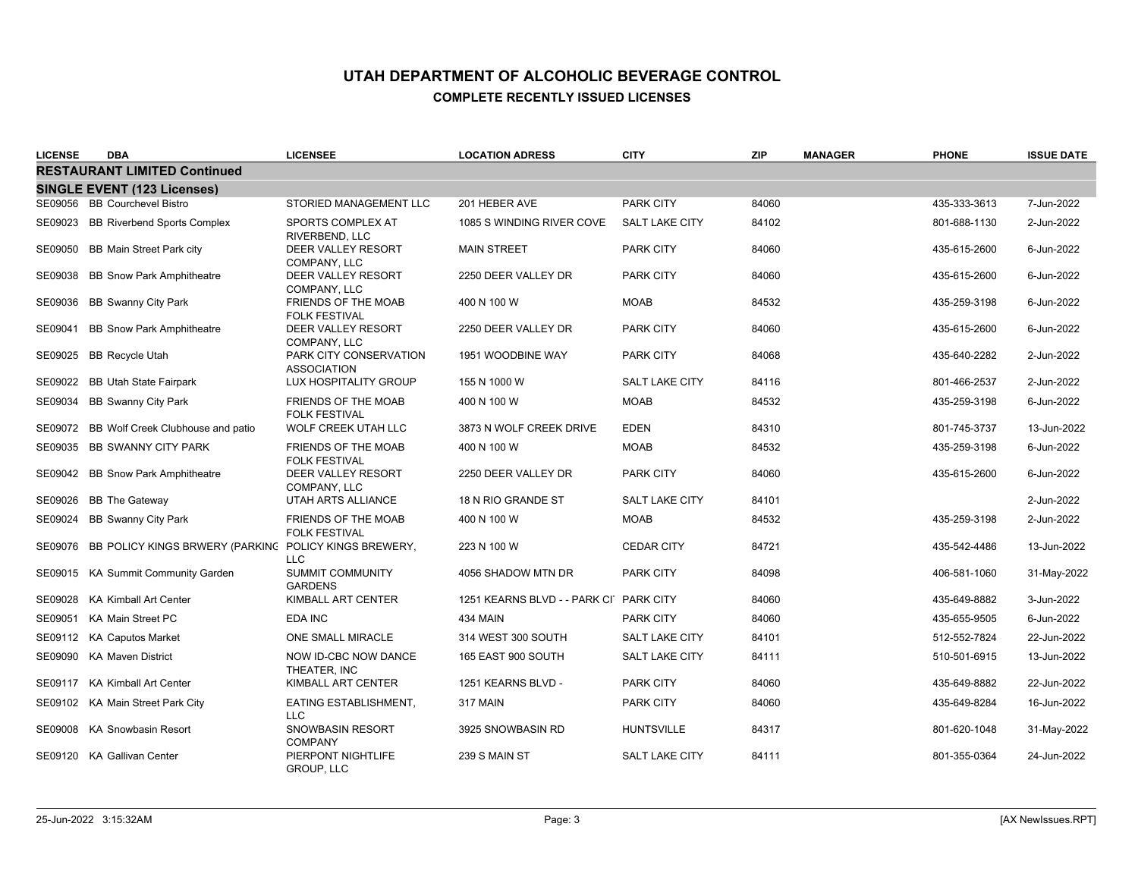| <b>LICENSE</b> | <b>DBA</b>                                            | <b>LICENSEE</b>                                    | <b>LOCATION ADRESS</b>                 | <b>CITY</b>           | <b>ZIP</b> | <b>MANAGER</b> | <b>PHONE</b> | <b>ISSUE DATE</b> |
|----------------|-------------------------------------------------------|----------------------------------------------------|----------------------------------------|-----------------------|------------|----------------|--------------|-------------------|
|                | <b>RESTAURANT LIMITED Continued</b>                   |                                                    |                                        |                       |            |                |              |                   |
|                | <b>SINGLE EVENT (123 Licenses)</b>                    |                                                    |                                        |                       |            |                |              |                   |
|                | SE09056 BB Courchevel Bistro                          | STORIED MANAGEMENT LLC                             | 201 HEBER AVE                          | <b>PARK CITY</b>      | 84060      |                | 435-333-3613 | 7-Jun-2022        |
| SE09023        | <b>BB Riverbend Sports Complex</b>                    | SPORTS COMPLEX AT<br>RIVERBEND, LLC                | 1085 S WINDING RIVER COVE              | <b>SALT LAKE CITY</b> | 84102      |                | 801-688-1130 | 2-Jun-2022        |
| SE09050        | <b>BB Main Street Park city</b>                       | DEER VALLEY RESORT<br>COMPANY, LLC                 | <b>MAIN STREET</b>                     | <b>PARK CITY</b>      | 84060      |                | 435-615-2600 | 6-Jun-2022        |
| SE09038        | <b>BB Snow Park Amphitheatre</b>                      | DEER VALLEY RESORT<br>COMPANY, LLC                 | 2250 DEER VALLEY DR                    | <b>PARK CITY</b>      | 84060      |                | 435-615-2600 | 6-Jun-2022        |
| SE09036        | <b>BB Swanny City Park</b>                            | FRIENDS OF THE MOAB<br><b>FOLK FESTIVAL</b>        | 400 N 100 W                            | <b>MOAB</b>           | 84532      |                | 435-259-3198 | 6-Jun-2022        |
| SE09041        | <b>BB Snow Park Amphitheatre</b>                      | <b>DEER VALLEY RESORT</b><br>COMPANY, LLC          | 2250 DEER VALLEY DR                    | <b>PARK CITY</b>      | 84060      |                | 435-615-2600 | 6-Jun-2022        |
| SE09025        | <b>BB Recycle Utah</b>                                | PARK CITY CONSERVATION<br><b>ASSOCIATION</b>       | 1951 WOODBINE WAY                      | <b>PARK CITY</b>      | 84068      |                | 435-640-2282 | 2-Jun-2022        |
| SE09022        | <b>BB Utah State Fairpark</b>                         | LUX HOSPITALITY GROUP                              | 155 N 1000 W                           | <b>SALT LAKE CITY</b> | 84116      |                | 801-466-2537 | 2-Jun-2022        |
| SE09034        | <b>BB Swanny City Park</b>                            | FRIENDS OF THE MOAB<br><b>FOLK FESTIVAL</b>        | 400 N 100 W                            | <b>MOAB</b>           | 84532      |                | 435-259-3198 | 6-Jun-2022        |
| SE09072        | BB Wolf Creek Clubhouse and patio                     | <b>WOLF CREEK UTAH LLC</b>                         | 3873 N WOLF CREEK DRIVE                | <b>EDEN</b>           | 84310      |                | 801-745-3737 | 13-Jun-2022       |
| SE09035        | <b>BB SWANNY CITY PARK</b>                            | <b>FRIENDS OF THE MOAB</b><br><b>FOLK FESTIVAL</b> | 400 N 100 W                            | <b>MOAB</b>           | 84532      |                | 435-259-3198 | 6-Jun-2022        |
|                | SE09042 BB Snow Park Amphitheatre                     | DEER VALLEY RESORT<br>COMPANY, LLC                 | 2250 DEER VALLEY DR                    | <b>PARK CITY</b>      | 84060      |                | 435-615-2600 | 6-Jun-2022        |
| SE09026        | <b>BB</b> The Gateway                                 | UTAH ARTS ALLIANCE                                 | 18 N RIO GRANDE ST                     | <b>SALT LAKE CITY</b> | 84101      |                |              | 2-Jun-2022        |
| SE09024        | BB Swanny City Park                                   | <b>FRIENDS OF THE MOAB</b><br><b>FOLK FESTIVAL</b> | 400 N 100 W                            | <b>MOAB</b>           | 84532      |                | 435-259-3198 | 2-Jun-2022        |
| SE09076        | BB POLICY KINGS BRWERY (PARKING POLICY KINGS BREWERY, | <b>LLC</b>                                         | 223 N 100 W                            | <b>CEDAR CITY</b>     | 84721      |                | 435-542-4486 | 13-Jun-2022       |
| SE09015        | <b>KA Summit Community Garden</b>                     | <b>SUMMIT COMMUNITY</b><br><b>GARDENS</b>          | 4056 SHADOW MTN DR                     | <b>PARK CITY</b>      | 84098      |                | 406-581-1060 | 31-May-2022       |
| SE09028        | <b>KA Kimball Art Center</b>                          | KIMBALL ART CENTER                                 | 1251 KEARNS BLVD - - PARK CI PARK CITY |                       | 84060      |                | 435-649-8882 | 3-Jun-2022        |
| SE09051        | KA Main Street PC                                     | EDA INC                                            | 434 MAIN                               | <b>PARK CITY</b>      | 84060      |                | 435-655-9505 | 6-Jun-2022        |
|                | SE09112 KA Caputos Market                             | <b>ONE SMALL MIRACLE</b>                           | 314 WEST 300 SOUTH                     | <b>SALT LAKE CITY</b> | 84101      |                | 512-552-7824 | 22-Jun-2022       |
| SE09090        | KA Maven District                                     | NOW ID-CBC NOW DANCE<br>THEATER, INC               | 165 EAST 900 SOUTH                     | SALT LAKE CITY        | 84111      |                | 510-501-6915 | 13-Jun-2022       |
| SE09117        | <b>KA Kimball Art Center</b>                          | KIMBALL ART CENTER                                 | 1251 KEARNS BLVD -                     | <b>PARK CITY</b>      | 84060      |                | 435-649-8882 | 22-Jun-2022       |
|                | SE09102 KA Main Street Park City                      | EATING ESTABLISHMENT,<br><b>LLC</b>                | 317 MAIN                               | <b>PARK CITY</b>      | 84060      |                | 435-649-8284 | 16-Jun-2022       |
|                | SE09008 KA Snowbasin Resort                           | SNOWBASIN RESORT<br><b>COMPANY</b>                 | 3925 SNOWBASIN RD                      | <b>HUNTSVILLE</b>     | 84317      |                | 801-620-1048 | 31-May-2022       |
|                | SE09120 KA Gallivan Center                            | PIERPONT NIGHTLIFE<br><b>GROUP, LLC</b>            | 239 S MAIN ST                          | <b>SALT LAKE CITY</b> | 84111      |                | 801-355-0364 | 24-Jun-2022       |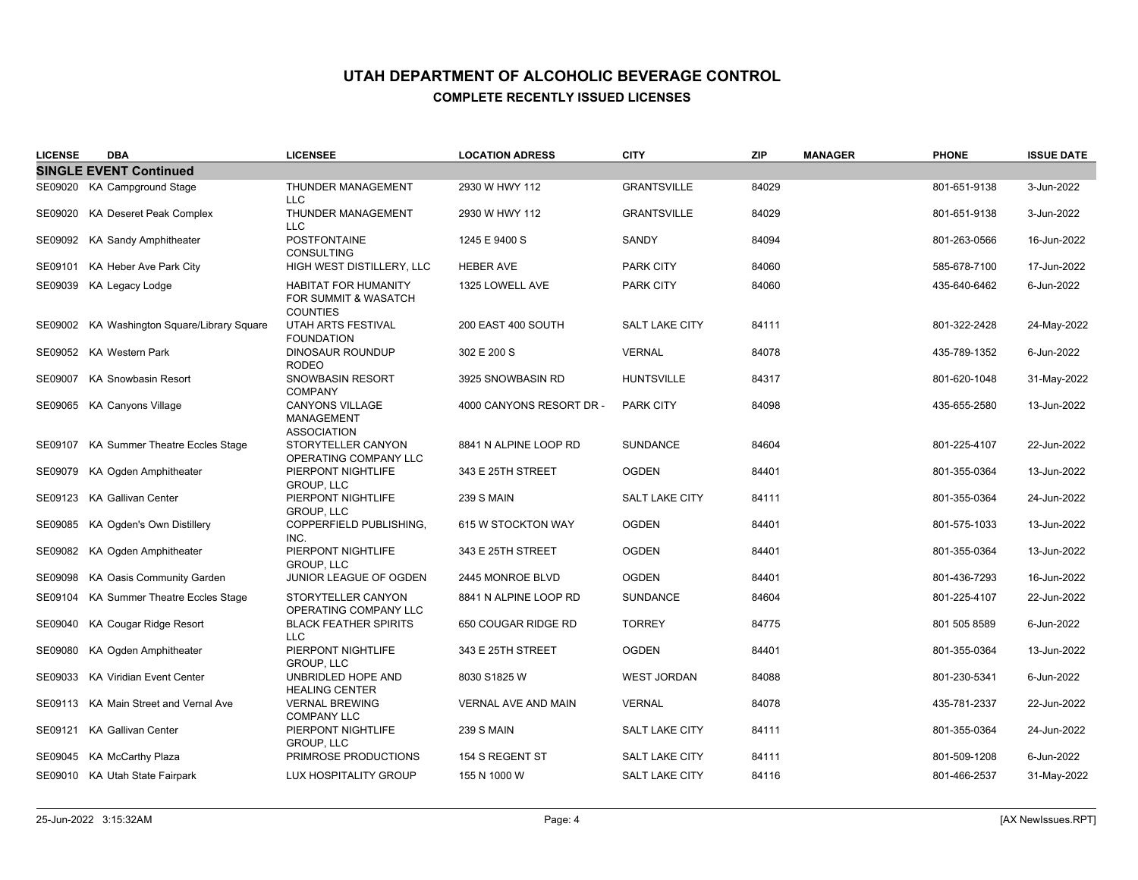| <b>LICENSE</b> | <b>DBA</b>                                  | <b>LICENSEE</b>                                                        | <b>LOCATION ADRESS</b>   | <b>CITY</b>           | <b>ZIP</b> | <b>MANAGER</b> | <b>PHONE</b> | <b>ISSUE DATE</b> |
|----------------|---------------------------------------------|------------------------------------------------------------------------|--------------------------|-----------------------|------------|----------------|--------------|-------------------|
|                | <b>SINGLE EVENT Continued</b>               |                                                                        |                          |                       |            |                |              |                   |
|                | SE09020 KA Campground Stage                 | THUNDER MANAGEMENT<br><b>LLC</b>                                       | 2930 W HWY 112           | <b>GRANTSVILLE</b>    | 84029      |                | 801-651-9138 | 3-Jun-2022        |
| SE09020        | KA Deseret Peak Complex                     | THUNDER MANAGEMENT<br><b>LLC</b>                                       | 2930 W HWY 112           | <b>GRANTSVILLE</b>    | 84029      |                | 801-651-9138 | 3-Jun-2022        |
|                | SE09092 KA Sandy Amphitheater               | <b>POSTFONTAINE</b><br><b>CONSULTING</b>                               | 1245 E 9400 S            | SANDY                 | 84094      |                | 801-263-0566 | 16-Jun-2022       |
| SE09101        | KA Heber Ave Park City                      | HIGH WEST DISTILLERY, LLC                                              | <b>HEBER AVE</b>         | <b>PARK CITY</b>      | 84060      |                | 585-678-7100 | 17-Jun-2022       |
| SE09039        | KA Legacy Lodge                             | <b>HABITAT FOR HUMANITY</b><br>FOR SUMMIT & WASATCH<br><b>COUNTIES</b> | 1325 LOWELL AVE          | <b>PARK CITY</b>      | 84060      |                | 435-640-6462 | 6-Jun-2022        |
|                | SE09002 KA Washington Square/Library Square | UTAH ARTS FESTIVAL<br><b>FOUNDATION</b>                                | 200 EAST 400 SOUTH       | <b>SALT LAKE CITY</b> | 84111      |                | 801-322-2428 | 24-May-2022       |
|                | SE09052 KA Western Park                     | <b>DINOSAUR ROUNDUP</b><br><b>RODEO</b>                                | 302 E 200 S              | <b>VERNAL</b>         | 84078      |                | 435-789-1352 | 6-Jun-2022        |
|                | SE09007 KA Snowbasin Resort                 | SNOWBASIN RESORT<br><b>COMPANY</b>                                     | 3925 SNOWBASIN RD        | <b>HUNTSVILLE</b>     | 84317      |                | 801-620-1048 | 31-May-2022       |
|                | SE09065 KA Canyons Village                  | CANYONS VILLAGE<br><b>MANAGEMENT</b><br><b>ASSOCIATION</b>             | 4000 CANYONS RESORT DR - | <b>PARK CITY</b>      | 84098      |                | 435-655-2580 | 13-Jun-2022       |
|                | SE09107 KA Summer Theatre Eccles Stage      | STORYTELLER CANYON<br>OPERATING COMPANY LLC                            | 8841 N ALPINE LOOP RD    | <b>SUNDANCE</b>       | 84604      |                | 801-225-4107 | 22-Jun-2022       |
| SE09079        | KA Ogden Amphitheater                       | PIERPONT NIGHTLIFE<br>GROUP, LLC                                       | 343 E 25TH STREET        | <b>OGDEN</b>          | 84401      |                | 801-355-0364 | 13-Jun-2022       |
|                | SE09123 KA Gallivan Center                  | PIERPONT NIGHTLIFE<br><b>GROUP, LLC</b>                                | <b>239 S MAIN</b>        | <b>SALT LAKE CITY</b> | 84111      |                | 801-355-0364 | 24-Jun-2022       |
| SE09085        | KA Ogden's Own Distillery                   | COPPERFIELD PUBLISHING,<br>INC.                                        | 615 W STOCKTON WAY       | <b>OGDEN</b>          | 84401      |                | 801-575-1033 | 13-Jun-2022       |
| SE09082        | KA Ogden Amphitheater                       | PIERPONT NIGHTLIFE<br><b>GROUP, LLC</b>                                | 343 E 25TH STREET        | <b>OGDEN</b>          | 84401      |                | 801-355-0364 | 13-Jun-2022       |
| SE09098        | KA Oasis Community Garden                   | JUNIOR LEAGUE OF OGDEN                                                 | 2445 MONROE BLVD         | <b>OGDEN</b>          | 84401      |                | 801-436-7293 | 16-Jun-2022       |
|                | SE09104 KA Summer Theatre Eccles Stage      | STORYTELLER CANYON<br>OPERATING COMPANY LLC                            | 8841 N ALPINE LOOP RD    | <b>SUNDANCE</b>       | 84604      |                | 801-225-4107 | 22-Jun-2022       |
| SE09040        | KA Cougar Ridge Resort                      | <b>BLACK FEATHER SPIRITS</b><br><b>LLC</b>                             | 650 COUGAR RIDGE RD      | <b>TORREY</b>         | 84775      |                | 801 505 8589 | 6-Jun-2022        |
| SE09080        | KA Ogden Amphitheater                       | PIERPONT NIGHTLIFE<br><b>GROUP, LLC</b>                                | 343 E 25TH STREET        | <b>OGDEN</b>          | 84401      |                | 801-355-0364 | 13-Jun-2022       |
|                | SE09033 KA Viridian Event Center            | UNBRIDLED HOPE AND<br><b>HEALING CENTER</b>                            | 8030 S1825 W             | <b>WEST JORDAN</b>    | 84088      |                | 801-230-5341 | 6-Jun-2022        |
|                | SE09113 KA Main Street and Vernal Ave       | <b>VERNAL BREWING</b><br><b>COMPANY LLC</b>                            | VERNAL AVE AND MAIN      | <b>VERNAL</b>         | 84078      |                | 435-781-2337 | 22-Jun-2022       |
|                | SE09121 KA Gallivan Center                  | PIERPONT NIGHTLIFE<br><b>GROUP, LLC</b>                                | 239 S MAIN               | SALT LAKE CITY        | 84111      |                | 801-355-0364 | 24-Jun-2022       |
|                | SE09045 KA McCarthy Plaza                   | PRIMROSE PRODUCTIONS                                                   | 154 S REGENT ST          | <b>SALT LAKE CITY</b> | 84111      |                | 801-509-1208 | 6-Jun-2022        |
|                | SE09010 KA Utah State Fairpark              | LUX HOSPITALITY GROUP                                                  | 155 N 1000 W             | <b>SALT LAKE CITY</b> | 84116      |                | 801-466-2537 | 31-May-2022       |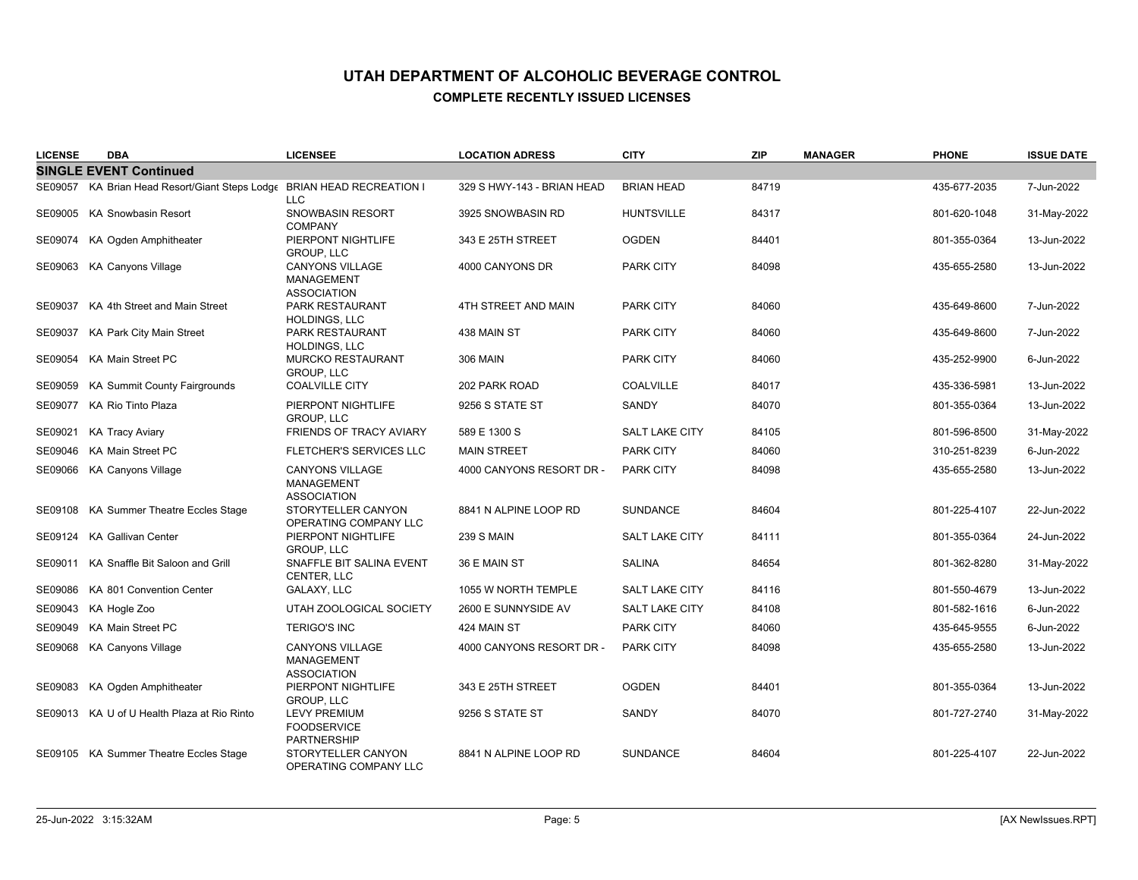| <b>LICENSE</b> | <b>DBA</b>                                                             | <b>LICENSEE</b>                                                   | <b>LOCATION ADRESS</b>     | <b>CITY</b>           | <b>ZIP</b> | <b>MANAGER</b> | <b>PHONE</b> | <b>ISSUE DATE</b> |
|----------------|------------------------------------------------------------------------|-------------------------------------------------------------------|----------------------------|-----------------------|------------|----------------|--------------|-------------------|
|                | <b>SINGLE EVENT Continued</b>                                          |                                                                   |                            |                       |            |                |              |                   |
|                | SE09057 KA Brian Head Resort/Giant Steps Lodge BRIAN HEAD RECREATION I | <b>LLC</b>                                                        | 329 S HWY-143 - BRIAN HEAD | <b>BRIAN HEAD</b>     | 84719      |                | 435-677-2035 | 7-Jun-2022        |
|                | SE09005 KA Snowbasin Resort                                            | SNOWBASIN RESORT<br><b>COMPANY</b>                                | 3925 SNOWBASIN RD          | <b>HUNTSVILLE</b>     | 84317      |                | 801-620-1048 | 31-May-2022       |
|                | SE09074 KA Ogden Amphitheater                                          | PIERPONT NIGHTLIFE<br><b>GROUP, LLC</b>                           | 343 E 25TH STREET          | <b>OGDEN</b>          | 84401      |                | 801-355-0364 | 13-Jun-2022       |
| SE09063        | <b>KA Canyons Village</b>                                              | <b>CANYONS VILLAGE</b><br><b>MANAGEMENT</b><br><b>ASSOCIATION</b> | 4000 CANYONS DR            | <b>PARK CITY</b>      | 84098      |                | 435-655-2580 | 13-Jun-2022       |
|                | SE09037 KA 4th Street and Main Street                                  | PARK RESTAURANT<br>HOLDINGS, LLC                                  | 4TH STREET AND MAIN        | <b>PARK CITY</b>      | 84060      |                | 435-649-8600 | 7-Jun-2022        |
| SE09037        | KA Park City Main Street                                               | <b>PARK RESTAURANT</b><br>HOLDINGS, LLC                           | 438 MAIN ST                | <b>PARK CITY</b>      | 84060      |                | 435-649-8600 | 7-Jun-2022        |
|                | SE09054 KA Main Street PC                                              | <b>MURCKO RESTAURANT</b><br><b>GROUP, LLC</b>                     | <b>306 MAIN</b>            | <b>PARK CITY</b>      | 84060      |                | 435-252-9900 | 6-Jun-2022        |
| SE09059        | KA Summit County Fairgrounds                                           | <b>COALVILLE CITY</b>                                             | 202 PARK ROAD              | <b>COALVILLE</b>      | 84017      |                | 435-336-5981 | 13-Jun-2022       |
|                | SE09077 KA Rio Tinto Plaza                                             | PIERPONT NIGHTLIFE<br><b>GROUP, LLC</b>                           | 9256 S STATE ST            | SANDY                 | 84070      |                | 801-355-0364 | 13-Jun-2022       |
| SE09021        | <b>KA Tracy Aviary</b>                                                 | FRIENDS OF TRACY AVIARY                                           | 589 E 1300 S               | <b>SALT LAKE CITY</b> | 84105      |                | 801-596-8500 | 31-May-2022       |
|                | SE09046 KA Main Street PC                                              | FLETCHER'S SERVICES LLC                                           | <b>MAIN STREET</b>         | <b>PARK CITY</b>      | 84060      |                | 310-251-8239 | 6-Jun-2022        |
|                | SE09066 KA Canyons Village                                             | <b>CANYONS VILLAGE</b><br><b>MANAGEMENT</b><br><b>ASSOCIATION</b> | 4000 CANYONS RESORT DR -   | <b>PARK CITY</b>      | 84098      |                | 435-655-2580 | 13-Jun-2022       |
|                | SE09108 KA Summer Theatre Eccles Stage                                 | STORYTELLER CANYON<br>OPERATING COMPANY LLC                       | 8841 N ALPINE LOOP RD      | <b>SUNDANCE</b>       | 84604      |                | 801-225-4107 | 22-Jun-2022       |
|                | SE09124 KA Gallivan Center                                             | PIERPONT NIGHTLIFE<br>GROUP, LLC                                  | <b>239 S MAIN</b>          | <b>SALT LAKE CITY</b> | 84111      |                | 801-355-0364 | 24-Jun-2022       |
| SE09011        | KA Snaffle Bit Saloon and Grill                                        | SNAFFLE BIT SALINA EVENT<br>CENTER, LLC                           | 36 E MAIN ST               | <b>SALINA</b>         | 84654      |                | 801-362-8280 | 31-May-2022       |
|                | SE09086 KA 801 Convention Center                                       | GALAXY, LLC                                                       | 1055 W NORTH TEMPLE        | <b>SALT LAKE CITY</b> | 84116      |                | 801-550-4679 | 13-Jun-2022       |
|                | SE09043 KA Hogle Zoo                                                   | UTAH ZOOLOGICAL SOCIETY                                           | 2600 E SUNNYSIDE AV        | <b>SALT LAKE CITY</b> | 84108      |                | 801-582-1616 | 6-Jun-2022        |
| SE09049        | <b>KA Main Street PC</b>                                               | <b>TERIGO'S INC</b>                                               | 424 MAIN ST                | <b>PARK CITY</b>      | 84060      |                | 435-645-9555 | 6-Jun-2022        |
| SE09068        | <b>KA Canyons Village</b>                                              | <b>CANYONS VILLAGE</b><br><b>MANAGEMENT</b><br><b>ASSOCIATION</b> | 4000 CANYONS RESORT DR -   | <b>PARK CITY</b>      | 84098      |                | 435-655-2580 | 13-Jun-2022       |
|                | SE09083 KA Ogden Amphitheater                                          | PIERPONT NIGHTLIFE<br><b>GROUP, LLC</b>                           | 343 E 25TH STREET          | <b>OGDEN</b>          | 84401      |                | 801-355-0364 | 13-Jun-2022       |
|                | SE09013 KA U of U Health Plaza at Rio Rinto                            | <b>LEVY PREMIUM</b><br><b>FOODSERVICE</b><br><b>PARTNERSHIP</b>   | 9256 S STATE ST            | SANDY                 | 84070      |                | 801-727-2740 | 31-May-2022       |
|                | SE09105 KA Summer Theatre Eccles Stage                                 | STORYTELLER CANYON<br>OPERATING COMPANY LLC                       | 8841 N ALPINE LOOP RD      | <b>SUNDANCE</b>       | 84604      |                | 801-225-4107 | 22-Jun-2022       |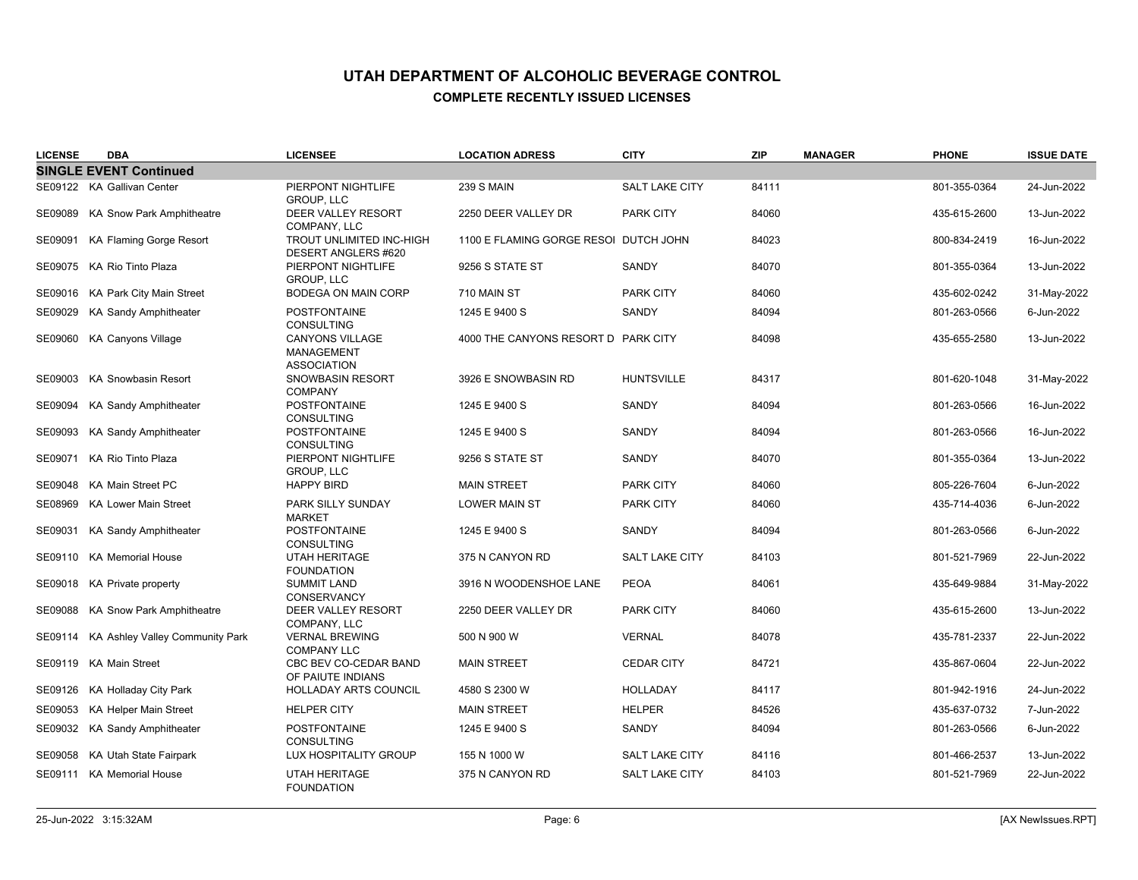| <b>LICENSE</b> | <b>DBA</b>                              | <b>LICENSEE</b>                                                   | <b>LOCATION ADRESS</b>                | <b>CITY</b>           | <b>ZIP</b> | <b>MANAGER</b> | <b>PHONE</b> | <b>ISSUE DATE</b> |
|----------------|-----------------------------------------|-------------------------------------------------------------------|---------------------------------------|-----------------------|------------|----------------|--------------|-------------------|
|                | <b>SINGLE EVENT Continued</b>           |                                                                   |                                       |                       |            |                |              |                   |
|                | SE09122 KA Gallivan Center              | PIERPONT NIGHTLIFE<br><b>GROUP, LLC</b>                           | <b>239 S MAIN</b>                     | <b>SALT LAKE CITY</b> | 84111      |                | 801-355-0364 | 24-Jun-2022       |
|                | SE09089 KA Snow Park Amphitheatre       | DEER VALLEY RESORT<br>COMPANY, LLC                                | 2250 DEER VALLEY DR                   | <b>PARK CITY</b>      | 84060      |                | 435-615-2600 | 13-Jun-2022       |
| SE09091        | KA Flaming Gorge Resort                 | TROUT UNLIMITED INC-HIGH<br><b>DESERT ANGLERS #620</b>            | 1100 E FLAMING GORGE RESOI DUTCH JOHN |                       | 84023      |                | 800-834-2419 | 16-Jun-2022       |
|                | SE09075 KA Rio Tinto Plaza              | PIERPONT NIGHTLIFE<br><b>GROUP. LLC</b>                           | 9256 S STATE ST                       | SANDY                 | 84070      |                | 801-355-0364 | 13-Jun-2022       |
|                | SE09016 KA Park City Main Street        | <b>BODEGA ON MAIN CORP</b>                                        | 710 MAIN ST                           | <b>PARK CITY</b>      | 84060      |                | 435-602-0242 | 31-May-2022       |
|                | SE09029 KA Sandy Amphitheater           | <b>POSTFONTAINE</b><br><b>CONSULTING</b>                          | 1245 E 9400 S                         | SANDY                 | 84094      |                | 801-263-0566 | 6-Jun-2022        |
|                | SE09060 KA Canyons Village              | <b>CANYONS VILLAGE</b><br><b>MANAGEMENT</b><br><b>ASSOCIATION</b> | 4000 THE CANYONS RESORT D PARK CITY   |                       | 84098      |                | 435-655-2580 | 13-Jun-2022       |
|                | SE09003 KA Snowbasin Resort             | <b>SNOWBASIN RESORT</b><br><b>COMPANY</b>                         | 3926 E SNOWBASIN RD                   | <b>HUNTSVILLE</b>     | 84317      |                | 801-620-1048 | 31-May-2022       |
|                | SE09094 KA Sandy Amphitheater           | <b>POSTFONTAINE</b><br><b>CONSULTING</b>                          | 1245 E 9400 S                         | SANDY                 | 84094      |                | 801-263-0566 | 16-Jun-2022       |
|                | SE09093 KA Sandy Amphitheater           | <b>POSTFONTAINE</b><br><b>CONSULTING</b>                          | 1245 E 9400 S                         | SANDY                 | 84094      |                | 801-263-0566 | 16-Jun-2022       |
|                | SE09071 KA Rio Tinto Plaza              | PIERPONT NIGHTLIFE<br><b>GROUP, LLC</b>                           | 9256 S STATE ST                       | SANDY                 | 84070      |                | 801-355-0364 | 13-Jun-2022       |
|                | SE09048 KA Main Street PC               | <b>HAPPY BIRD</b>                                                 | <b>MAIN STREET</b>                    | <b>PARK CITY</b>      | 84060      |                | 805-226-7604 | 6-Jun-2022        |
|                | SE08969 KA Lower Main Street            | PARK SILLY SUNDAY<br><b>MARKET</b>                                | <b>LOWER MAIN ST</b>                  | PARK CITY             | 84060      |                | 435-714-4036 | 6-Jun-2022        |
|                | SE09031 KA Sandy Amphitheater           | <b>POSTFONTAINE</b><br><b>CONSULTING</b>                          | 1245 E 9400 S                         | SANDY                 | 84094      |                | 801-263-0566 | 6-Jun-2022        |
|                | SE09110 KA Memorial House               | <b>UTAH HERITAGE</b><br><b>FOUNDATION</b>                         | 375 N CANYON RD                       | <b>SALT LAKE CITY</b> | 84103      |                | 801-521-7969 | 22-Jun-2022       |
|                | SE09018 KA Private property             | <b>SUMMIT LAND</b><br><b>CONSERVANCY</b>                          | 3916 N WOODENSHOE LANE                | <b>PEOA</b>           | 84061      |                | 435-649-9884 | 31-May-2022       |
|                | SE09088 KA Snow Park Amphitheatre       | DEER VALLEY RESORT<br>COMPANY, LLC                                | 2250 DEER VALLEY DR                   | <b>PARK CITY</b>      | 84060      |                | 435-615-2600 | 13-Jun-2022       |
|                | SE09114 KA Ashley Valley Community Park | <b>VERNAL BREWING</b><br><b>COMPANY LLC</b>                       | 500 N 900 W                           | <b>VERNAL</b>         | 84078      |                | 435-781-2337 | 22-Jun-2022       |
|                | SE09119 KA Main Street                  | CBC BEV CO-CEDAR BAND<br>OF PAIUTE INDIANS                        | <b>MAIN STREET</b>                    | <b>CEDAR CITY</b>     | 84721      |                | 435-867-0604 | 22-Jun-2022       |
|                | SE09126 KA Holladay City Park           | <b>HOLLADAY ARTS COUNCIL</b>                                      | 4580 S 2300 W                         | <b>HOLLADAY</b>       | 84117      |                | 801-942-1916 | 24-Jun-2022       |
|                | SE09053 KA Helper Main Street           | <b>HELPER CITY</b>                                                | <b>MAIN STREET</b>                    | <b>HELPER</b>         | 84526      |                | 435-637-0732 | 7-Jun-2022        |
|                | SE09032 KA Sandy Amphitheater           | <b>POSTFONTAINE</b><br><b>CONSULTING</b>                          | 1245 E 9400 S                         | SANDY                 | 84094      |                | 801-263-0566 | 6-Jun-2022        |
|                | SE09058 KA Utah State Fairpark          | LUX HOSPITALITY GROUP                                             | 155 N 1000 W                          | <b>SALT LAKE CITY</b> | 84116      |                | 801-466-2537 | 13-Jun-2022       |
|                | SE09111 KA Memorial House               | <b>UTAH HERITAGE</b><br><b>FOUNDATION</b>                         | 375 N CANYON RD                       | <b>SALT LAKE CITY</b> | 84103      |                | 801-521-7969 | 22-Jun-2022       |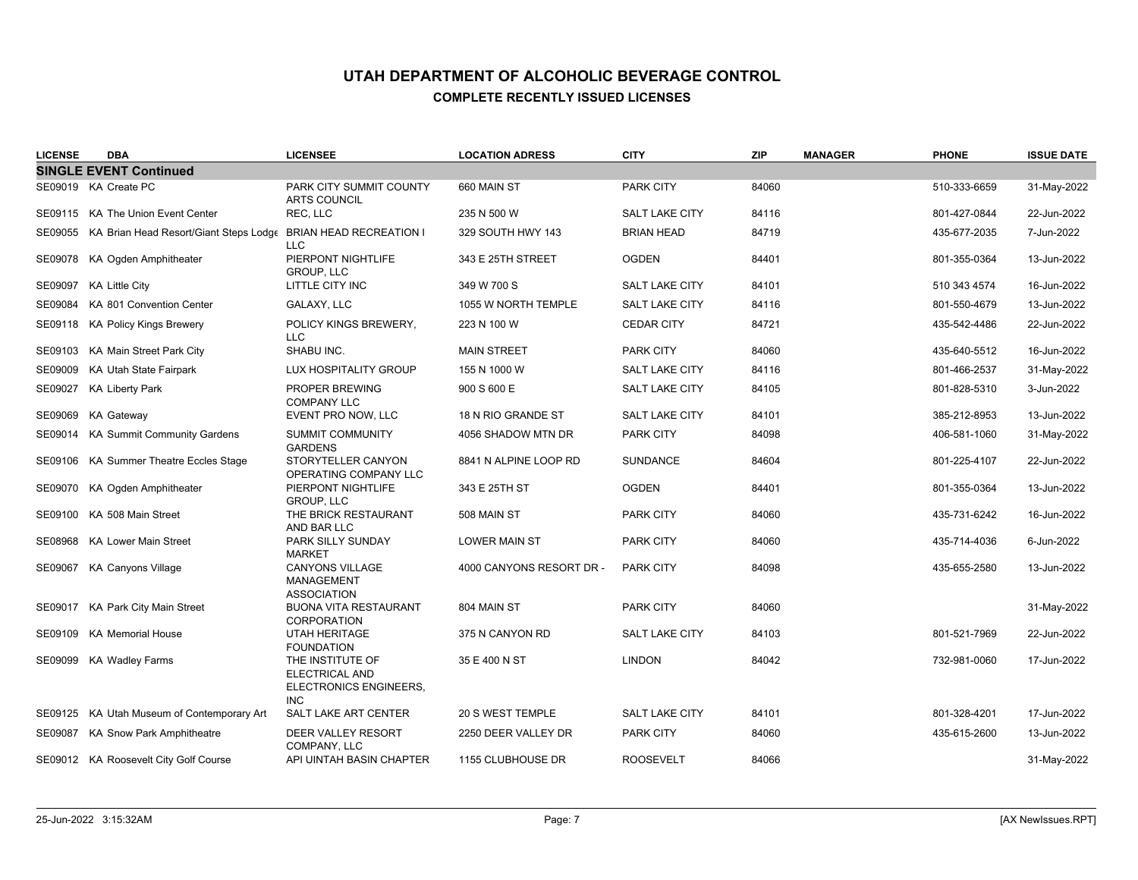| <b>LICENSE</b> | <b>DBA</b>                                     | <b>LICENSEE</b>                                                            | <b>LOCATION ADRESS</b>   | <b>CITY</b>           | <b>ZIP</b> | <b>MANAGER</b> | <b>PHONE</b> | <b>ISSUE DATE</b> |
|----------------|------------------------------------------------|----------------------------------------------------------------------------|--------------------------|-----------------------|------------|----------------|--------------|-------------------|
|                | <b>SINGLE EVENT Continued</b>                  |                                                                            |                          |                       |            |                |              |                   |
|                | SE09019 KA Create PC                           | PARK CITY SUMMIT COUNTY<br><b>ARTS COUNCIL</b>                             | 660 MAIN ST              | <b>PARK CITY</b>      | 84060      |                | 510-333-6659 | 31-May-2022       |
|                | SE09115 KA The Union Event Center              | REC, LLC                                                                   | 235 N 500 W              | <b>SALT LAKE CITY</b> | 84116      |                | 801-427-0844 | 22-Jun-2022       |
|                | SE09055 KA Brian Head Resort/Giant Steps Lodge | BRIAN HEAD RECREATION I<br><b>LLC</b>                                      | 329 SOUTH HWY 143        | <b>BRIAN HEAD</b>     | 84719      |                | 435-677-2035 | 7-Jun-2022        |
|                | SE09078 KA Ogden Amphitheater                  | PIERPONT NIGHTLIFE<br><b>GROUP, LLC</b>                                    | 343 E 25TH STREET        | <b>OGDEN</b>          | 84401      |                | 801-355-0364 | 13-Jun-2022       |
|                | SE09097 KA Little City                         | LITTLE CITY INC                                                            | 349 W 700 S              | <b>SALT LAKE CITY</b> | 84101      |                | 510 343 4574 | 16-Jun-2022       |
|                | SE09084 KA 801 Convention Center               | GALAXY, LLC                                                                | 1055 W NORTH TEMPLE      | <b>SALT LAKE CITY</b> | 84116      |                | 801-550-4679 | 13-Jun-2022       |
|                | SE09118 KA Policy Kings Brewery                | POLICY KINGS BREWERY,<br><b>LLC</b>                                        | 223 N 100 W              | <b>CEDAR CITY</b>     | 84721      |                | 435-542-4486 | 22-Jun-2022       |
| SE09103        | KA Main Street Park City                       | SHABU INC.                                                                 | <b>MAIN STREET</b>       | <b>PARK CITY</b>      | 84060      |                | 435-640-5512 | 16-Jun-2022       |
| SE09009        | KA Utah State Fairpark                         | LUX HOSPITALITY GROUP                                                      | 155 N 1000 W             | <b>SALT LAKE CITY</b> | 84116      |                | 801-466-2537 | 31-May-2022       |
| SE09027        | <b>KA Liberty Park</b>                         | PROPER BREWING<br><b>COMPANY LLC</b>                                       | 900 S 600 E              | SALT LAKE CITY        | 84105      |                | 801-828-5310 | 3-Jun-2022        |
|                | SE09069 KA Gateway                             | EVENT PRO NOW, LLC                                                         | 18 N RIO GRANDE ST       | <b>SALT LAKE CITY</b> | 84101      |                | 385-212-8953 | 13-Jun-2022       |
|                | SE09014 KA Summit Community Gardens            | SUMMIT COMMUNITY<br><b>GARDENS</b>                                         | 4056 SHADOW MTN DR       | <b>PARK CITY</b>      | 84098      |                | 406-581-1060 | 31-May-2022       |
| SE09106        | KA Summer Theatre Eccles Stage                 | STORYTELLER CANYON<br>OPERATING COMPANY LLC                                | 8841 N ALPINE LOOP RD    | <b>SUNDANCE</b>       | 84604      |                | 801-225-4107 | 22-Jun-2022       |
|                | SE09070 KA Ogden Amphitheater                  | PIERPONT NIGHTLIFE<br><b>GROUP, LLC</b>                                    | 343 E 25TH ST            | <b>OGDEN</b>          | 84401      |                | 801-355-0364 | 13-Jun-2022       |
|                | SE09100 KA 508 Main Street                     | THE BRICK RESTAURANT<br>AND BAR LLC                                        | 508 MAIN ST              | <b>PARK CITY</b>      | 84060      |                | 435-731-6242 | 16-Jun-2022       |
| SE08968        | <b>KA Lower Main Street</b>                    | PARK SILLY SUNDAY<br>MARKET                                                | <b>LOWER MAIN ST</b>     | <b>PARK CITY</b>      | 84060      |                | 435-714-4036 | 6-Jun-2022        |
|                | SE09067 KA Canyons Village                     | <b>CANYONS VILLAGE</b><br><b>MANAGEMENT</b><br><b>ASSOCIATION</b>          | 4000 CANYONS RESORT DR - | <b>PARK CITY</b>      | 84098      |                | 435-655-2580 | 13-Jun-2022       |
|                | SE09017 KA Park City Main Street               | <b>BUONA VITA RESTAURANT</b><br><b>CORPORATION</b>                         | 804 MAIN ST              | <b>PARK CITY</b>      | 84060      |                |              | 31-May-2022       |
|                | SE09109 KA Memorial House                      | <b>UTAH HERITAGE</b><br><b>FOUNDATION</b>                                  | 375 N CANYON RD          | <b>SALT LAKE CITY</b> | 84103      |                | 801-521-7969 | 22-Jun-2022       |
|                | SE09099 KA Wadley Farms                        | THE INSTITUTE OF<br>ELECTRICAL AND<br>ELECTRONICS ENGINEERS,<br><b>INC</b> | 35 E 400 N ST            | <b>LINDON</b>         | 84042      |                | 732-981-0060 | 17-Jun-2022       |
|                | SE09125 KA Utah Museum of Contemporary Art     | SALT LAKE ART CENTER                                                       | 20 S WEST TEMPLE         | <b>SALT LAKE CITY</b> | 84101      |                | 801-328-4201 | 17-Jun-2022       |
|                | SE09087 KA Snow Park Amphitheatre              | DEER VALLEY RESORT<br>COMPANY, LLC                                         | 2250 DEER VALLEY DR      | <b>PARK CITY</b>      | 84060      |                | 435-615-2600 | 13-Jun-2022       |
|                | SE09012 KA Roosevelt City Golf Course          | API UINTAH BASIN CHAPTER                                                   | 1155 CLUBHOUSE DR        | <b>ROOSEVELT</b>      | 84066      |                |              | 31-May-2022       |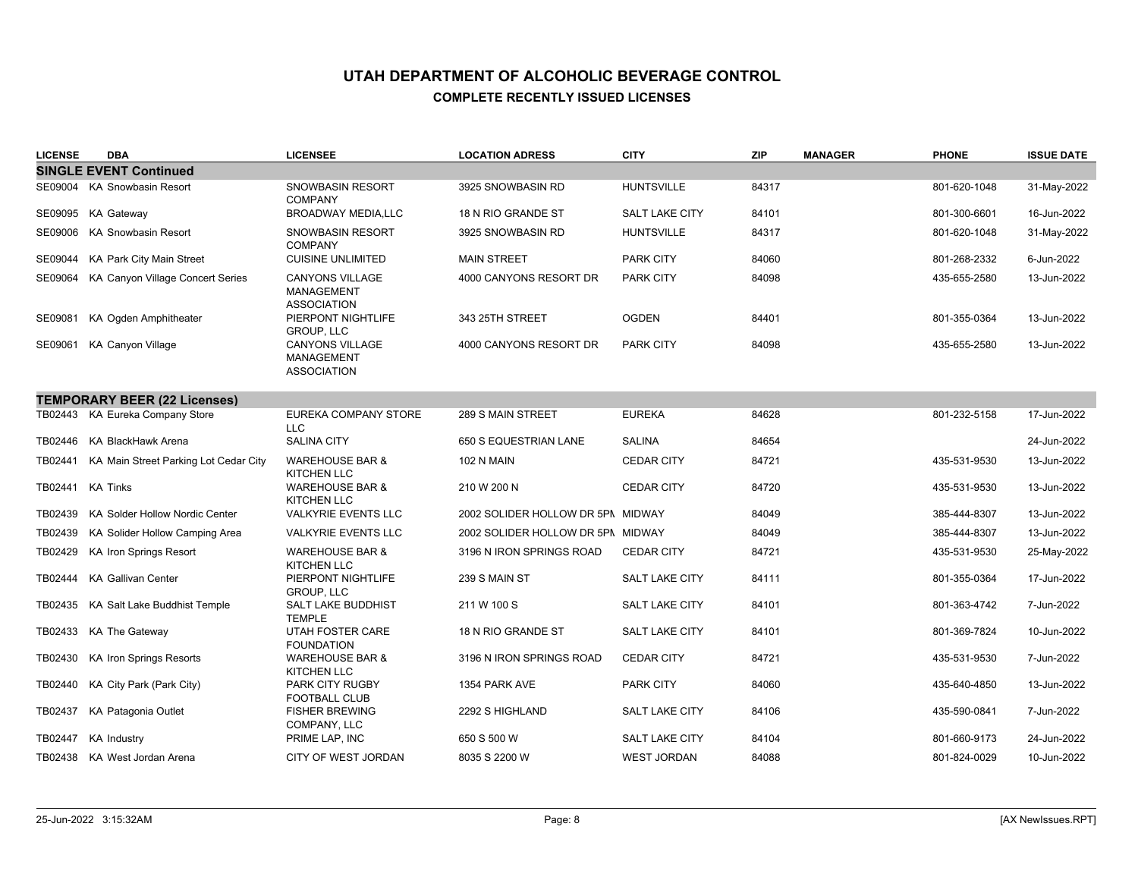| <b>LICENSE</b> | <b>DBA</b>                               | <b>LICENSEE</b>                                                   | <b>LOCATION ADRESS</b>            | <b>CITY</b>           | <b>ZIP</b> | <b>MANAGER</b> | <b>PHONE</b> | <b>ISSUE DATE</b> |
|----------------|------------------------------------------|-------------------------------------------------------------------|-----------------------------------|-----------------------|------------|----------------|--------------|-------------------|
|                | <b>SINGLE EVENT Continued</b>            |                                                                   |                                   |                       |            |                |              |                   |
|                | SE09004 KA Snowbasin Resort              | <b>SNOWBASIN RESORT</b><br><b>COMPANY</b>                         | 3925 SNOWBASIN RD                 | <b>HUNTSVILLE</b>     | 84317      |                | 801-620-1048 | 31-May-2022       |
|                | SE09095 KA Gateway                       | <b>BROADWAY MEDIA,LLC</b>                                         | 18 N RIO GRANDE ST                | <b>SALT LAKE CITY</b> | 84101      |                | 801-300-6601 | 16-Jun-2022       |
|                | SE09006 KA Snowbasin Resort              | <b>SNOWBASIN RESORT</b><br><b>COMPANY</b>                         | 3925 SNOWBASIN RD                 | <b>HUNTSVILLE</b>     | 84317      |                | 801-620-1048 | 31-May-2022       |
|                | SE09044 KA Park City Main Street         | <b>CUISINE UNLIMITED</b>                                          | <b>MAIN STREET</b>                | <b>PARK CITY</b>      | 84060      |                | 801-268-2332 | 6-Jun-2022        |
|                | SE09064 KA Canyon Village Concert Series | <b>CANYONS VILLAGE</b><br><b>MANAGEMENT</b><br><b>ASSOCIATION</b> | 4000 CANYONS RESORT DR            | <b>PARK CITY</b>      | 84098      |                | 435-655-2580 | 13-Jun-2022       |
| SE09081        | KA Ogden Amphitheater                    | PIERPONT NIGHTLIFE<br>GROUP, LLC                                  | 343 25TH STREET                   | <b>OGDEN</b>          | 84401      |                | 801-355-0364 | 13-Jun-2022       |
| SE09061        | <b>KA Canyon Village</b>                 | CANYONS VILLAGE<br><b>MANAGEMENT</b><br><b>ASSOCIATION</b>        | 4000 CANYONS RESORT DR            | <b>PARK CITY</b>      | 84098      |                | 435-655-2580 | 13-Jun-2022       |
|                | <b>TEMPORARY BEER (22 Licenses)</b>      |                                                                   |                                   |                       |            |                |              |                   |
|                | TB02443 KA Eureka Company Store          | EUREKA COMPANY STORE<br><b>LLC</b>                                | 289 S MAIN STREET                 | <b>EUREKA</b>         | 84628      |                | 801-232-5158 | 17-Jun-2022       |
|                | TB02446 KA BlackHawk Arena               | <b>SALINA CITY</b>                                                | 650 S EQUESTRIAN LANE             | <b>SALINA</b>         | 84654      |                |              | 24-Jun-2022       |
| TB02441        | KA Main Street Parking Lot Cedar City    | <b>WAREHOUSE BAR &amp;</b><br><b>KITCHEN LLC</b>                  | <b>102 N MAIN</b>                 | <b>CEDAR CITY</b>     | 84721      |                | 435-531-9530 | 13-Jun-2022       |
| TB02441        | KA Tinks                                 | <b>WAREHOUSE BAR &amp;</b><br><b>KITCHEN LLC</b>                  | 210 W 200 N                       | <b>CEDAR CITY</b>     | 84720      |                | 435-531-9530 | 13-Jun-2022       |
| TB02439        | KA Solder Hollow Nordic Center           | <b>VALKYRIE EVENTS LLC</b>                                        | 2002 SOLIDER HOLLOW DR 5PN MIDWAY |                       | 84049      |                | 385-444-8307 | 13-Jun-2022       |
| TB02439        | KA Solider Hollow Camping Area           | <b>VALKYRIE EVENTS LLC</b>                                        | 2002 SOLIDER HOLLOW DR 5PN MIDWAY |                       | 84049      |                | 385-444-8307 | 13-Jun-2022       |
| TB02429        | <b>KA Iron Springs Resort</b>            | <b>WAREHOUSE BAR &amp;</b><br><b>KITCHEN LLC</b>                  | 3196 N IRON SPRINGS ROAD          | <b>CEDAR CITY</b>     | 84721      |                | 435-531-9530 | 25-May-2022       |
| TB02444        | KA Gallivan Center                       | PIERPONT NIGHTLIFE<br><b>GROUP, LLC</b>                           | 239 S MAIN ST                     | <b>SALT LAKE CITY</b> | 84111      |                | 801-355-0364 | 17-Jun-2022       |
|                | TB02435 KA Salt Lake Buddhist Temple     | <b>SALT LAKE BUDDHIST</b><br><b>TEMPLE</b>                        | 211 W 100 S                       | SALT LAKE CITY        | 84101      |                | 801-363-4742 | 7-Jun-2022        |
|                | TB02433 KA The Gateway                   | <b>UTAH FOSTER CARE</b><br><b>FOUNDATION</b>                      | 18 N RIO GRANDE ST                | <b>SALT LAKE CITY</b> | 84101      |                | 801-369-7824 | 10-Jun-2022       |
| TB02430        | <b>KA Iron Springs Resorts</b>           | <b>WAREHOUSE BAR &amp;</b><br><b>KITCHEN LLC</b>                  | 3196 N IRON SPRINGS ROAD          | <b>CEDAR CITY</b>     | 84721      |                | 435-531-9530 | 7-Jun-2022        |
| TB02440        | KA City Park (Park City)                 | PARK CITY RUGBY<br><b>FOOTBALL CLUB</b>                           | 1354 PARK AVE                     | <b>PARK CITY</b>      | 84060      |                | 435-640-4850 | 13-Jun-2022       |
| TB02437        | KA Patagonia Outlet                      | <b>FISHER BREWING</b><br>COMPANY, LLC                             | 2292 S HIGHLAND                   | <b>SALT LAKE CITY</b> | 84106      |                | 435-590-0841 | 7-Jun-2022        |
|                | TB02447 KA Industry                      | PRIME LAP, INC                                                    | 650 S 500 W                       | <b>SALT LAKE CITY</b> | 84104      |                | 801-660-9173 | 24-Jun-2022       |
|                | TB02438 KA West Jordan Arena             | CITY OF WEST JORDAN                                               | 8035 S 2200 W                     | <b>WEST JORDAN</b>    | 84088      |                | 801-824-0029 | 10-Jun-2022       |